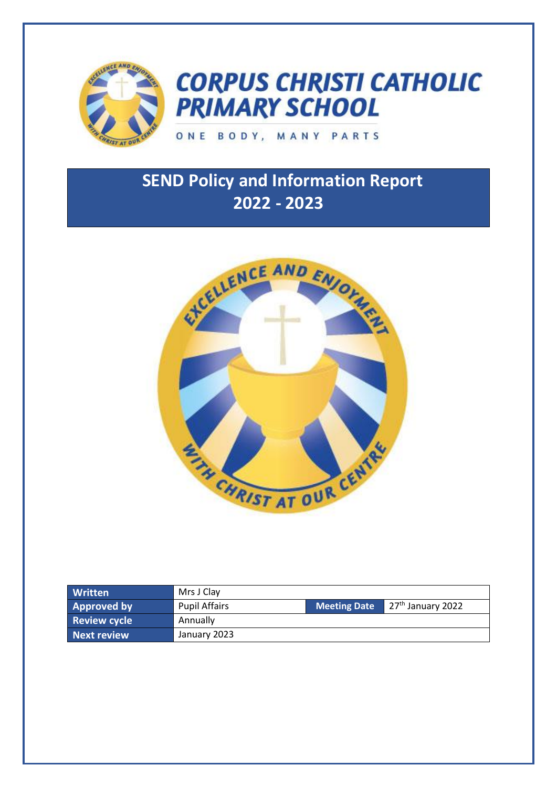

# **CORPUS CHRISTI CATHOLIC PRIMARY SCHOOL**

### ONE BODY, MANY PARTS

## **SEND Policy and Information Report 2022 - 2023**



| <b>Written</b>      | Mrs J Clay           |                     |                                        |
|---------------------|----------------------|---------------------|----------------------------------------|
| <b>Approved by</b>  | <b>Pupil Affairs</b> | <b>Meeting Date</b> | $\sqrt{27}$ <sup>th</sup> January 2022 |
| <b>Review cycle</b> | Annually             |                     |                                        |
| Next review         | January 2023         |                     |                                        |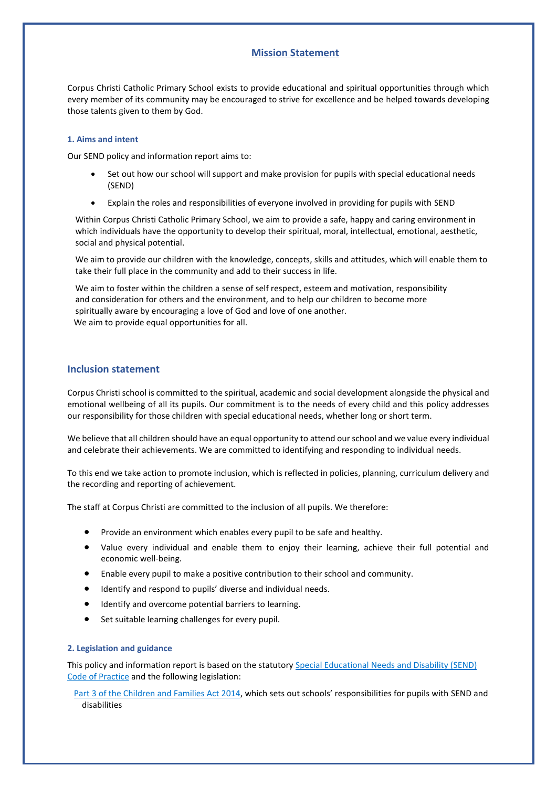#### **Mission Statement**

Corpus Christi Catholic Primary School exists to provide educational and spiritual opportunities through which every member of its community may be encouraged to strive for excellence and be helped towards developing those talents given to them by God.

#### **1. Aims and intent**

Our SEND policy and information report aims to:

- Set out how our school will support and make provision for pupils with special educational needs (SEND)
- Explain the roles and responsibilities of everyone involved in providing for pupils with SEND

Within Corpus Christi Catholic Primary School, we aim to provide a safe, happy and caring environment in which individuals have the opportunity to develop their spiritual, moral, intellectual, emotional, aesthetic, social and physical potential.

We aim to provide our children with the knowledge, concepts, skills and attitudes, which will enable them to take their full place in the community and add to their success in life.

We aim to foster within the children a sense of self respect, esteem and motivation, responsibility and consideration for others and the environment, and to help our children to become more spiritually aware by encouraging a love of God and love of one another. We aim to provide equal opportunities for all.

#### **Inclusion statement**

Corpus Christi school is committed to the spiritual, academic and social development alongside the physical and emotional wellbeing of all its pupils. Our commitment is to the needs of every child and this policy addresses our responsibility for those children with special educational needs, whether long or short term.

We believe that all children should have an equal opportunity to attend our school and we value every individual and celebrate their achievements. We are committed to identifying and responding to individual needs.

To this end we take action to promote inclusion, which is reflected in policies, planning, curriculum delivery and the recording and reporting of achievement.

The staff at Corpus Christi are committed to the inclusion of all pupils. We therefore:

- Provide an environment which enables every pupil to be safe and healthy.
- Value every individual and enable them to enjoy their learning, achieve their full potential and economic well-being.
- Enable every pupil to make a positive contribution to their school and community.
- Identify and respond to pupils' diverse and individual needs.
- Identify and overcome potential barriers to learning.
- Set suitable learning challenges for every pupil.

#### **2. Legislation and guidance**

This policy and information report is based on the statutory [Special Educational Needs and Disability \(SEND\)](https://www.gov.uk/government/uploads/system/uploads/attachment_data/file/398815/SEND_Code_of_Practice_January_2015.pdf)  [Code of Practice](https://www.gov.uk/government/uploads/system/uploads/attachment_data/file/398815/SEND_Code_of_Practice_January_2015.pdf) and the following legislation:

[Part 3 of the Children and Families Act 2014](http://www.legislation.gov.uk/ukpga/2014/6/part/3), which sets out schools' responsibilities for pupils with SEND and disabilities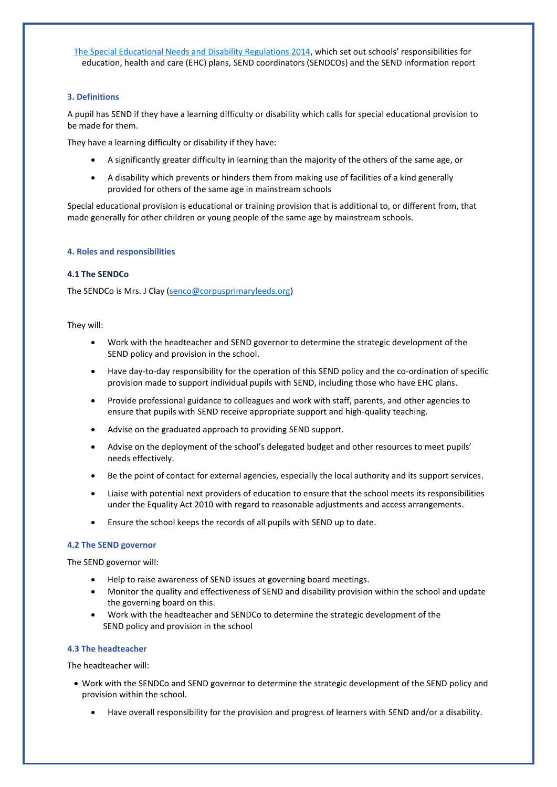[The Special Educational Needs and Disability Regulations 2014](http://www.legislation.gov.uk/uksi/2014/1530/contents/made), which set out schools' responsibilities for education, health and care (EHC) plans, SEND coordinators (SENDCOs) and the SEND information report

#### **3. Definitions**

A pupil has SEND if they have a learning difficulty or disability which calls for special educational provision to be made for them.

They have a learning difficulty or disability if they have:

- A significantly greater difficulty in learning than the majority of the others of the same age, or
- A disability which prevents or hinders them from making use of facilities of a kind generally provided for others of the same age in mainstream schools

Special educational provision is educational or training provision that is additional to, or different from, that made generally for other children or young people of the same age by mainstream schools.

#### **4. Roles and responsibilities**

#### **4.1 The SENDCo**

The SENDCo is Mrs. J Clay [\(senco@corpusprimaryleeds.org\)](mailto:senco@corpusprimaryleeds.org)

#### They will:

- Work with the headteacher and SEND governor to determine the strategic development of the SEND policy and provision in the school.
- Have day-to-day responsibility for the operation of this SEND policy and the co-ordination of specific provision made to support individual pupils with SEND, including those who have EHC plans.
- Provide professional guidance to colleagues and work with staff, parents, and other agencies to ensure that pupils with SEND receive appropriate support and high-quality teaching.
- Advise on the graduated approach to providing SEND support.
- Advise on the deployment of the school's delegated budget and other resources to meet pupils' needs effectively.
- Be the point of contact for external agencies, especially the local authority and its support services.
- Liaise with potential next providers of education to ensure that the school meets its responsibilities under the Equality Act 2010 with regard to reasonable adjustments and access arrangements.
- Ensure the school keeps the records of all pupils with SEND up to date.

#### **4.2 The SEND governor**

The SEND governor will:

- Help to raise awareness of SEND issues at governing board meetings.
- Monitor the quality and effectiveness of SEND and disability provision within the school and update the governing board on this.
- Work with the headteacher and SENDCo to determine the strategic development of the SEND policy and provision in the school

#### **4.3 The headteacher**

The headteacher will:

- Work with the SENDCo and SEND governor to determine the strategic development of the SEND policy and provision within the school.
	- Have overall responsibility for the provision and progress of learners with SEND and/or a disability.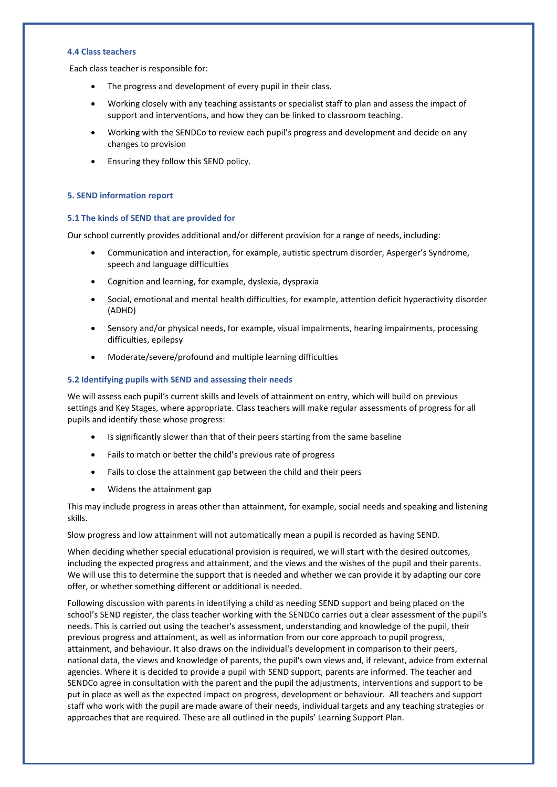#### **4.4 Class teachers**

Each class teacher is responsible for:

- The progress and development of every pupil in their class.
- Working closely with any teaching assistants or specialist staff to plan and assess the impact of support and interventions, and how they can be linked to classroom teaching.
- Working with the SENDCo to review each pupil's progress and development and decide on any changes to provision
- Ensuring they follow this SEND policy.

#### **5. SEND information report**

#### **5.1 The kinds of SEND that are provided for**

Our school currently provides additional and/or different provision for a range of needs, including:

- Communication and interaction, for example, autistic spectrum disorder, Asperger's Syndrome, speech and language difficulties
- Cognition and learning, for example, dyslexia, dyspraxia
- Social, emotional and mental health difficulties, for example, attention deficit hyperactivity disorder (ADHD)
- Sensory and/or physical needs, for example, visual impairments, hearing impairments, processing difficulties, epilepsy
- Moderate/severe/profound and multiple learning difficulties

#### **5.2 Identifying pupils with SEND and assessing their needs**

We will assess each pupil's current skills and levels of attainment on entry, which will build on previous settings and Key Stages, where appropriate. Class teachers will make regular assessments of progress for all pupils and identify those whose progress:

- Is significantly slower than that of their peers starting from the same baseline
- Fails to match or better the child's previous rate of progress
- Fails to close the attainment gap between the child and their peers
- Widens the attainment gap

This may include progress in areas other than attainment, for example, social needs and speaking and listening skills.

Slow progress and low attainment will not automatically mean a pupil is recorded as having SEND.

When deciding whether special educational provision is required, we will start with the desired outcomes, including the expected progress and attainment, and the views and the wishes of the pupil and their parents. We will use this to determine the support that is needed and whether we can provide it by adapting our core offer, or whether something different or additional is needed.

Following discussion with parents in identifying a child as needing SEND support and being placed on the school's SEND register, the class teacher working with the SENDCo carries out a clear assessment of the pupil's needs. This is carried out using the teacher's assessment, understanding and knowledge of the pupil, their previous progress and attainment, as well as information from our core approach to pupil progress, attainment, and behaviour. It also draws on the individual's development in comparison to their peers, national data, the views and knowledge of parents, the pupil's own views and, if relevant, advice from external agencies. Where it is decided to provide a pupil with SEND support, parents are informed. The teacher and SENDCo agree in consultation with the parent and the pupil the adjustments, interventions and support to be put in place as well as the expected impact on progress, development or behaviour. All teachers and support staff who work with the pupil are made aware of their needs, individual targets and any teaching strategies or approaches that are required. These are all outlined in the pupils' Learning Support Plan.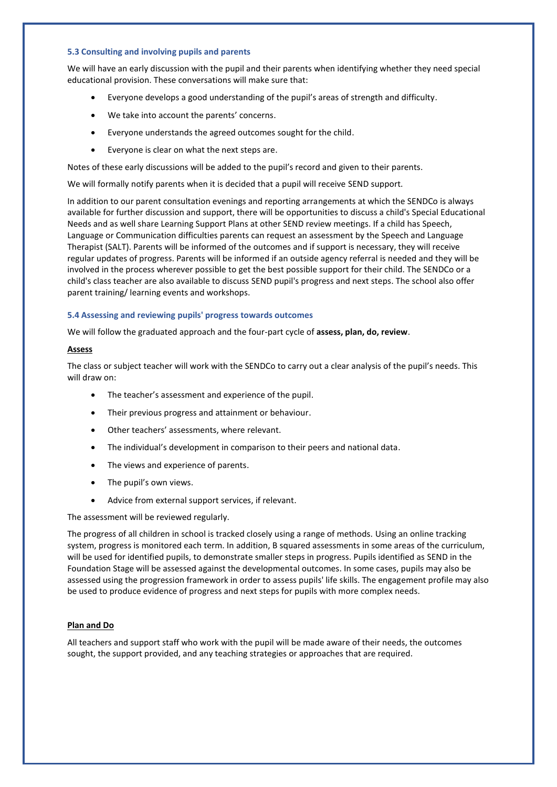#### **5.3 Consulting and involving pupils and parents**

We will have an early discussion with the pupil and their parents when identifying whether they need special educational provision. These conversations will make sure that:

- Everyone develops a good understanding of the pupil's areas of strength and difficulty.
- We take into account the parents' concerns.
- Everyone understands the agreed outcomes sought for the child.
- Everyone is clear on what the next steps are.

Notes of these early discussions will be added to the pupil's record and given to their parents.

We will formally notify parents when it is decided that a pupil will receive SEND support.

In addition to our parent consultation evenings and reporting arrangements at which the SENDCo is always available for further discussion and support, there will be opportunities to discuss a child's Special Educational Needs and as well share Learning Support Plans at other SEND review meetings. If a child has Speech, Language or Communication difficulties parents can request an assessment by the Speech and Language Therapist (SALT). Parents will be informed of the outcomes and if support is necessary, they will receive regular updates of progress. Parents will be informed if an outside agency referral is needed and they will be involved in the process wherever possible to get the best possible support for their child. The SENDCo or a child's class teacher are also available to discuss SEND pupil's progress and next steps. The school also offer parent training/ learning events and workshops.

#### **5.4 Assessing and reviewing pupils' progress towards outcomes**

We will follow the graduated approach and the four-part cycle of **assess, plan, do, review**.

#### **Assess**

The class or subject teacher will work with the SENDCo to carry out a clear analysis of the pupil's needs. This will draw on:

- The teacher's assessment and experience of the pupil.
- Their previous progress and attainment or behaviour.
- Other teachers' assessments, where relevant.
- The individual's development in comparison to their peers and national data.
- The views and experience of parents.
- The pupil's own views.
- Advice from external support services, if relevant.

The assessment will be reviewed regularly.

The progress of all children in school is tracked closely using a range of methods. Using an online tracking system, progress is monitored each term. In addition, B squared assessments in some areas of the curriculum, will be used for identified pupils, to demonstrate smaller steps in progress. Pupils identified as SEND in the Foundation Stage will be assessed against the developmental outcomes. In some cases, pupils may also be assessed using the progression framework in order to assess pupils' life skills. The engagement profile may also be used to produce evidence of progress and next steps for pupils with more complex needs.

#### **Plan and Do**

All teachers and support staff who work with the pupil will be made aware of their needs, the outcomes sought, the support provided, and any teaching strategies or approaches that are required.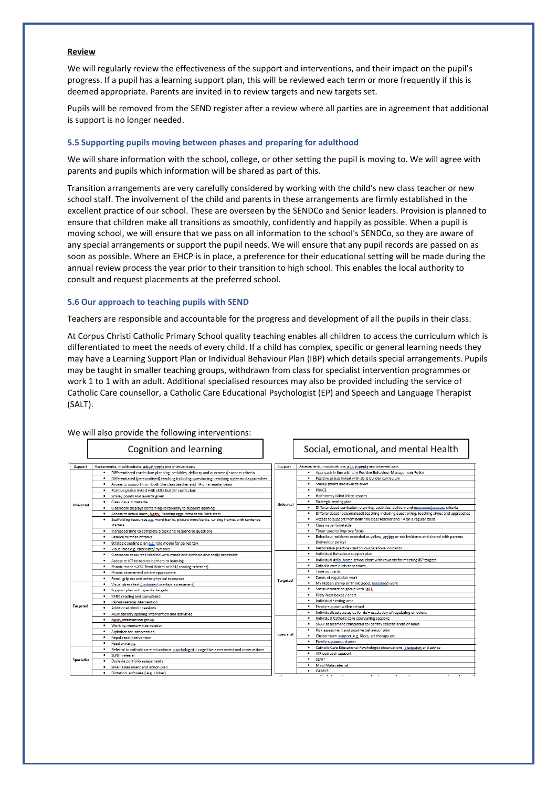#### **Review**

We will regularly review the effectiveness of the support and interventions, and their impact on the pupil's progress. If a pupil has a learning support plan, this will be reviewed each term or more frequently if this is deemed appropriate. Parents are invited in to review targets and new targets set.

Pupils will be removed from the SEND register after a review where all parties are in agreement that additional is support is no longer needed.

#### **5.5 Supporting pupils moving between phases and preparing for adulthood**

We will share information with the school, college, or other setting the pupil is moving to. We will agree with parents and pupils which information will be shared as part of this.

Transition arrangements are very carefully considered by working with the child's new class teacher or new school staff. The involvement of the child and parents in these arrangements are firmly established in the excellent practice of our school. These are overseen by the SENDCo and Senior leaders. Provision is planned to ensure that children make all transitions as smoothly, confidently and happily as possible. When a pupil is moving school, we will ensure that we pass on all information to the school's SENDCo, so they are aware of any special arrangements or support the pupil needs. We will ensure that any pupil records are passed on as soon as possible. Where an EHCP is in place, a preference for their educational setting will be made during the annual review process the year prior to their transition to high school. This enables the local authority to consult and request placements at the preferred school.

#### **5.6 Our approach to teaching pupils with SEND**

Teachers are responsible and accountable for the progress and development of all the pupils in their class.

At Corpus Christi Catholic Primary School quality teaching enables all children to access the curriculum which is differentiated to meet the needs of every child. If a child has complex, specific or general learning needs they may have a Learning Support Plan or Individual Behaviour Plan (IBP) which details special arrangements. Pupils may be taught in smaller teaching groups, withdrawn from class for specialist intervention programmes or work 1 to 1 with an adult. Additional specialised resources may also be provided including the service of Catholic Care counsellor, a Catholic Care Educational Psychologist (EP) and Speech and Language Therapist (SALT).

|                  | We will also provide the following interventions:                                                                                                                                                                                                                                                                                                                                                                                                                                                                                                                                                                         |                 |                                                                                                      |  |  |  |
|------------------|---------------------------------------------------------------------------------------------------------------------------------------------------------------------------------------------------------------------------------------------------------------------------------------------------------------------------------------------------------------------------------------------------------------------------------------------------------------------------------------------------------------------------------------------------------------------------------------------------------------------------|-----------------|------------------------------------------------------------------------------------------------------|--|--|--|
|                  | Cognition and learning                                                                                                                                                                                                                                                                                                                                                                                                                                                                                                                                                                                                    |                 | Social, emotional, and mental Health                                                                 |  |  |  |
| Support          | Assessments, modifications, adjustments and interventions                                                                                                                                                                                                                                                                                                                                                                                                                                                                                                                                                                 | Support         | Assessments, modifications, adjustments and interventions                                            |  |  |  |
|                  | Differentiated curriculum planning, activities, delivery and outcomes, success criteria                                                                                                                                                                                                                                                                                                                                                                                                                                                                                                                                   |                 | Approach in line with the Positive Behaviour Management Policy                                       |  |  |  |
|                  | Differentiated (personalised) teaching including questioning, teaching styles and approaches<br>Access to support from both the class teacher and TA on a regular basis<br>Positive praise linked with skills builder curriculum<br>$\bullet$<br>Smiley points and awards given<br>Class visual timetable<br>Classroom displays containing vocabulary to support learning<br>٠<br>Access to active learn, Nessy, Reading eggs, time table Rock stars<br>Scaffolding resources e.g. word banks, picture word banks, writing frames with sentence<br>starters<br>Increased time to complete a task and respond to questions |                 | Positive praise linked with skills builder curriculum                                                |  |  |  |
| <b>Universal</b> |                                                                                                                                                                                                                                                                                                                                                                                                                                                                                                                                                                                                                           |                 | Smiley points and awards given                                                                       |  |  |  |
|                  |                                                                                                                                                                                                                                                                                                                                                                                                                                                                                                                                                                                                                           |                 | PSHCE<br>$\bullet$                                                                                   |  |  |  |
|                  |                                                                                                                                                                                                                                                                                                                                                                                                                                                                                                                                                                                                                           |                 | Half termly Mind Mate lessons                                                                        |  |  |  |
|                  |                                                                                                                                                                                                                                                                                                                                                                                                                                                                                                                                                                                                                           |                 | Strategic seating plan                                                                               |  |  |  |
|                  |                                                                                                                                                                                                                                                                                                                                                                                                                                                                                                                                                                                                                           |                 | Differentiated curriculum planning, activities, delivery and outcomes( success criteria<br>$\bullet$ |  |  |  |
|                  |                                                                                                                                                                                                                                                                                                                                                                                                                                                                                                                                                                                                                           |                 | Differentiated (personalised) teaching including questioning, teaching styles and approaches<br>٠    |  |  |  |
|                  |                                                                                                                                                                                                                                                                                                                                                                                                                                                                                                                                                                                                                           |                 | Access to support from both the class teacher and TA on a regular basis                              |  |  |  |
|                  |                                                                                                                                                                                                                                                                                                                                                                                                                                                                                                                                                                                                                           |                 | Class visual timetable<br>$\bullet$                                                                  |  |  |  |
|                  |                                                                                                                                                                                                                                                                                                                                                                                                                                                                                                                                                                                                                           |                 | . Timer used to improve focus                                                                        |  |  |  |
|                  | Reduce number of tasks                                                                                                                                                                                                                                                                                                                                                                                                                                                                                                                                                                                                    |                 | Behaviour incidents recorded as yellow, amber or red incidents and shared with parents               |  |  |  |
|                  | Strategic seating plan e.g. role model for paired talk                                                                                                                                                                                                                                                                                                                                                                                                                                                                                                                                                                    |                 | (behaviour policy)                                                                                   |  |  |  |
|                  | Visual aids e.g. checklists/ symbols                                                                                                                                                                                                                                                                                                                                                                                                                                                                                                                                                                                      |                 | • Restorative practice used following above incidents                                                |  |  |  |
|                  | Classroom resources labelled with words and symbols and easily accessible                                                                                                                                                                                                                                                                                                                                                                                                                                                                                                                                                 |                 | Individual Behaviour support plan                                                                    |  |  |  |
|                  | Access to ICT to reduce barriers to learning                                                                                                                                                                                                                                                                                                                                                                                                                                                                                                                                                                              |                 | Individual daily home school chart with rewards for meeting IBP targets                              |  |  |  |
|                  | Phonic readers KS2 Read Write Inc KS1 [reading schemes]<br>٠                                                                                                                                                                                                                                                                                                                                                                                                                                                                                                                                                              |                 | Catholic care nurture sessions                                                                       |  |  |  |
|                  | Phonic assessment where appropriate                                                                                                                                                                                                                                                                                                                                                                                                                                                                                                                                                                                       |                 | Time out cards<br>$\bullet$                                                                          |  |  |  |
|                  | Pencil grip etc and other physical resources                                                                                                                                                                                                                                                                                                                                                                                                                                                                                                                                                                              | <b>Targeted</b> | Zones of regulation work<br>٠                                                                        |  |  |  |
| <b>Targeted</b>  | Visual stress test [coloured overlays assessment]<br>Support plan with specific targets<br>YARC reading test completed<br>Paired reading intervention                                                                                                                                                                                                                                                                                                                                                                                                                                                                     |                 | My hidden chimp or Think Good, Eeel Good work                                                        |  |  |  |
|                  |                                                                                                                                                                                                                                                                                                                                                                                                                                                                                                                                                                                                                           |                 | Social interaction group with SaLT                                                                   |  |  |  |
|                  |                                                                                                                                                                                                                                                                                                                                                                                                                                                                                                                                                                                                                           |                 | First/ Next boxes / chart                                                                            |  |  |  |
|                  |                                                                                                                                                                                                                                                                                                                                                                                                                                                                                                                                                                                                                           |                 | Individual seating area                                                                              |  |  |  |
|                  | Additional phonic sessions                                                                                                                                                                                                                                                                                                                                                                                                                                                                                                                                                                                                |                 | Family support within school                                                                         |  |  |  |
|                  | Multisensory spelling intervention and activities                                                                                                                                                                                                                                                                                                                                                                                                                                                                                                                                                                         |                 | . Individualised strategies for de - escalation of regulating emotions                               |  |  |  |
|                  | Nessy intervention group                                                                                                                                                                                                                                                                                                                                                                                                                                                                                                                                                                                                  |                 | Individual Catholic Care counselling sessions                                                        |  |  |  |
|                  | Working memory intervention<br>Alphabet arc intervention<br>Rapid read intervention<br>Read write inc.<br>Referral to catholic care educational psychologist __ cognitive assessment and observations<br>SENIT referral<br>٠                                                                                                                                                                                                                                                                                                                                                                                              |                 | SNAP assessment completed to identify specific areas of need                                         |  |  |  |
|                  |                                                                                                                                                                                                                                                                                                                                                                                                                                                                                                                                                                                                                           |                 | Risk assessment and positive behaviour plan                                                          |  |  |  |
|                  |                                                                                                                                                                                                                                                                                                                                                                                                                                                                                                                                                                                                                           |                 | Cluster team support e.g. Kicks, art therapy etc.                                                    |  |  |  |
|                  |                                                                                                                                                                                                                                                                                                                                                                                                                                                                                                                                                                                                                           |                 | Family support __ cluster<br>$\bullet$                                                               |  |  |  |
| Specialist       |                                                                                                                                                                                                                                                                                                                                                                                                                                                                                                                                                                                                                           |                 | Catholic Care Educational Psychologist observations, discussion and advice                           |  |  |  |
|                  |                                                                                                                                                                                                                                                                                                                                                                                                                                                                                                                                                                                                                           |                 | . AlP outreach support                                                                               |  |  |  |
|                  | Dyslexia portfolio assessments                                                                                                                                                                                                                                                                                                                                                                                                                                                                                                                                                                                            |                 | SENIT<br>$\bullet$                                                                                   |  |  |  |
|                  | SNAP assessment and action plan                                                                                                                                                                                                                                                                                                                                                                                                                                                                                                                                                                                           |                 | Mind Mate referral                                                                                   |  |  |  |
|                  | Dictation software (e.g. clicker)                                                                                                                                                                                                                                                                                                                                                                                                                                                                                                                                                                                         |                 | $\bullet$<br>CAMHS                                                                                   |  |  |  |
|                  |                                                                                                                                                                                                                                                                                                                                                                                                                                                                                                                                                                                                                           |                 |                                                                                                      |  |  |  |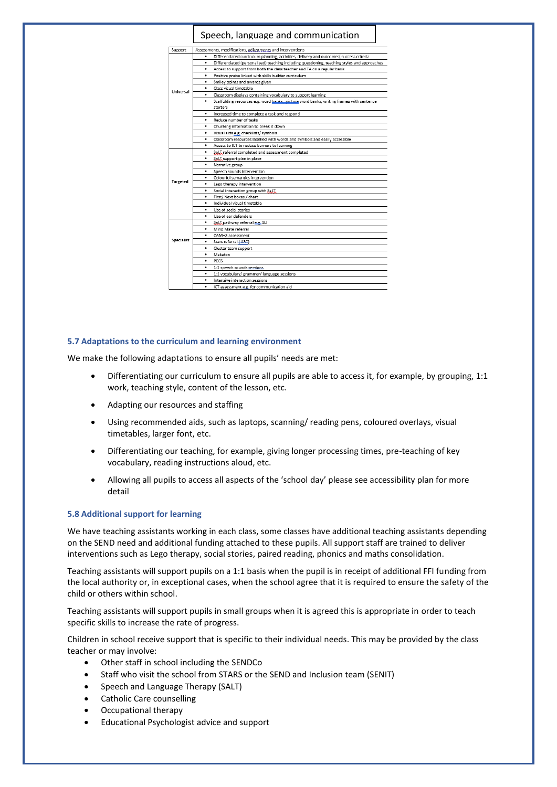#### Speech, language and communication

| Support           | Assessments, modifications, adjustments and interventions                                         |
|-------------------|---------------------------------------------------------------------------------------------------|
| Universal         | Differentiated curriculum planning, activities, delivery and outcomes, success criteria<br>٠      |
|                   | Differentiated (personalised) teaching including questioning, teaching styles and approaches<br>٠ |
|                   | Access to support from both the class teacher and TA on a regular basis<br>٠                      |
|                   | Positive praise linked with skills builder curriculum<br>٠                                        |
|                   | Smiley points and awards given<br>٠                                                               |
|                   | Class visual timetable<br>٠                                                                       |
|                   | Classroom displays containing vocabulary to support learning<br>٠                                 |
|                   | Scaffolding resources e.g. word hanks, picture word banks, writing frames with sentence<br>٠      |
|                   | starters                                                                                          |
|                   | Increased time to complete a task and respond<br>٠                                                |
|                   | Reduce number of tasks<br>٠                                                                       |
|                   | ٠<br>Chunking information to break it down                                                        |
|                   | ٠<br>Visual aids e.g. checklists/symbols                                                          |
|                   | Classroom resources labelled with words and symbols and easily accessible<br>٠                    |
|                   | ٠<br>Access to ICT to reduce barriers to learning                                                 |
|                   | SaLT referral completed and assessment completed<br>٠                                             |
|                   | Sal.T support plan in place<br>٠                                                                  |
|                   | Narrative group<br>٠                                                                              |
|                   | Speech sounds intervention<br>٠                                                                   |
|                   | Colourful semantics intervention<br>٠                                                             |
| <b>Targeted</b>   | ٠<br>Lego therapy intervention                                                                    |
|                   | Social interaction group with SaLT<br>٠                                                           |
|                   | First/ Next boxes / chart<br>٠                                                                    |
|                   | Individual visual timetable<br>٠                                                                  |
|                   | Use of social stories<br>٠                                                                        |
|                   | Use of ear defenders<br>٠                                                                         |
|                   | ٠<br>Sal T pathway referral e.g. SLI                                                              |
|                   | Mind Mate referral<br>٠                                                                           |
|                   | CAMHS assessment<br>٠                                                                             |
| <b>Specialist</b> | Stars referral (ASC)<br>٠                                                                         |
|                   | Cluster team support<br>٠                                                                         |
|                   | Makaton<br>٠                                                                                      |
|                   | PECS<br>٠                                                                                         |
|                   | 1:1 speech sounds sessions<br>٠                                                                   |
|                   | 1:1 vocabulary/ grammar/ language sessions<br>٠                                                   |
|                   | Intensive interaction sessions<br>٠                                                               |
|                   | ٠<br>ICT assessment e.g. for communication aid                                                    |
|                   |                                                                                                   |

#### **5.7 Adaptations to the curriculum and learning environment**

We make the following adaptations to ensure all pupils' needs are met:

- Differentiating our curriculum to ensure all pupils are able to access it, for example, by grouping, 1:1 work, teaching style, content of the lesson, etc.
- Adapting our resources and staffing
- Using recommended aids, such as laptops, scanning/ reading pens, coloured overlays, visual timetables, larger font, etc.
- Differentiating our teaching, for example, giving longer processing times, pre-teaching of key vocabulary, reading instructions aloud, etc.
- Allowing all pupils to access all aspects of the 'school day' please see accessibility plan for more detail

#### **5.8 Additional support for learning**

We have teaching assistants working in each class, some classes have additional teaching assistants depending on the SEND need and additional funding attached to these pupils. All support staff are trained to deliver interventions such as Lego therapy, social stories, paired reading, phonics and maths consolidation.

Teaching assistants will support pupils on a 1:1 basis when the pupil is in receipt of additional FFI funding from the local authority or, in exceptional cases, when the school agree that it is required to ensure the safety of the child or others within school.

Teaching assistants will support pupils in small groups when it is agreed this is appropriate in order to teach specific skills to increase the rate of progress.

Children in school receive support that is specific to their individual needs. This may be provided by the class teacher or may involve:

- Other staff in school including the SENDCo
- Staff who visit the school from STARS or the SEND and Inclusion team (SENIT)
- Speech and Language Therapy (SALT)
- Catholic Care counselling
- Occupational therapy
- Educational Psychologist advice and support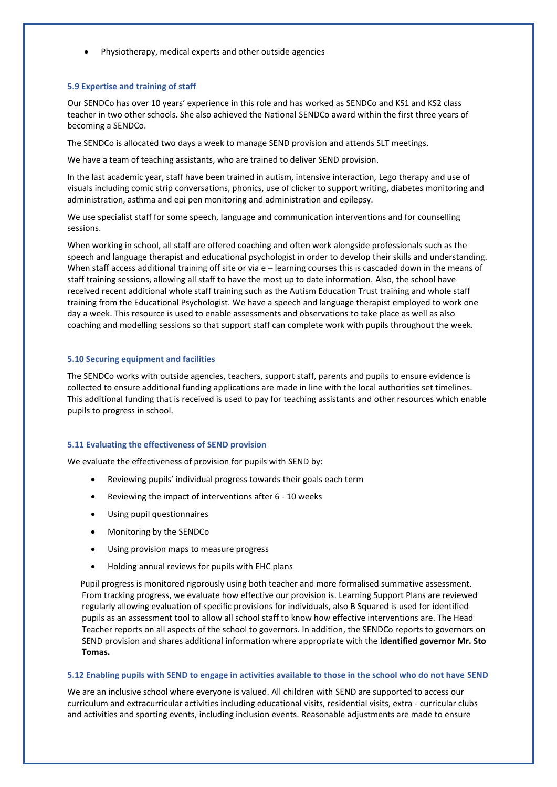• Physiotherapy, medical experts and other outside agencies

#### **5.9 Expertise and training of staff**

Our SENDCo has over 10 years' experience in this role and has worked as SENDCo and KS1 and KS2 class teacher in two other schools. She also achieved the National SENDCo award within the first three years of becoming a SENDCo.

The SENDCo is allocated two days a week to manage SEND provision and attends SLT meetings.

We have a team of teaching assistants, who are trained to deliver SEND provision.

In the last academic year, staff have been trained in autism, intensive interaction, Lego therapy and use of visuals including comic strip conversations, phonics, use of clicker to support writing, diabetes monitoring and administration, asthma and epi pen monitoring and administration and epilepsy.

We use specialist staff for some speech, language and communication interventions and for counselling sessions.

When working in school, all staff are offered coaching and often work alongside professionals such as the speech and language therapist and educational psychologist in order to develop their skills and understanding. When staff access additional training off site or via e – learning courses this is cascaded down in the means of staff training sessions, allowing all staff to have the most up to date information. Also, the school have received recent additional whole staff training such as the Autism Education Trust training and whole staff training from the Educational Psychologist. We have a speech and language therapist employed to work one day a week. This resource is used to enable assessments and observations to take place as well as also coaching and modelling sessions so that support staff can complete work with pupils throughout the week.

#### **5.10 Securing equipment and facilities**

The SENDCo works with outside agencies, teachers, support staff, parents and pupils to ensure evidence is collected to ensure additional funding applications are made in line with the local authorities set timelines. This additional funding that is received is used to pay for teaching assistants and other resources which enable pupils to progress in school.

#### **5.11 Evaluating the effectiveness of SEND provision**

We evaluate the effectiveness of provision for pupils with SEND by:

- Reviewing pupils' individual progress towards their goals each term
- Reviewing the impact of interventions after 6 10 weeks
- Using pupil questionnaires
- Monitoring by the SENDCo
- Using provision maps to measure progress
- Holding annual reviews for pupils with EHC plans

 Pupil progress is monitored rigorously using both teacher and more formalised summative assessment. From tracking progress, we evaluate how effective our provision is. Learning Support Plans are reviewed regularly allowing evaluation of specific provisions for individuals, also B Squared is used for identified pupils as an assessment tool to allow all school staff to know how effective interventions are. The Head Teacher reports on all aspects of the school to governors. In addition, the SENDCo reports to governors on SEND provision and shares additional information where appropriate with the **identified governor Mr. Sto Tomas.** 

#### **5.12 Enabling pupils with SEND to engage in activities available to those in the school who do not have SEND**

We are an inclusive school where everyone is valued. All children with SEND are supported to access our curriculum and extracurricular activities including educational visits, residential visits, extra - curricular clubs and activities and sporting events, including inclusion events. Reasonable adjustments are made to ensure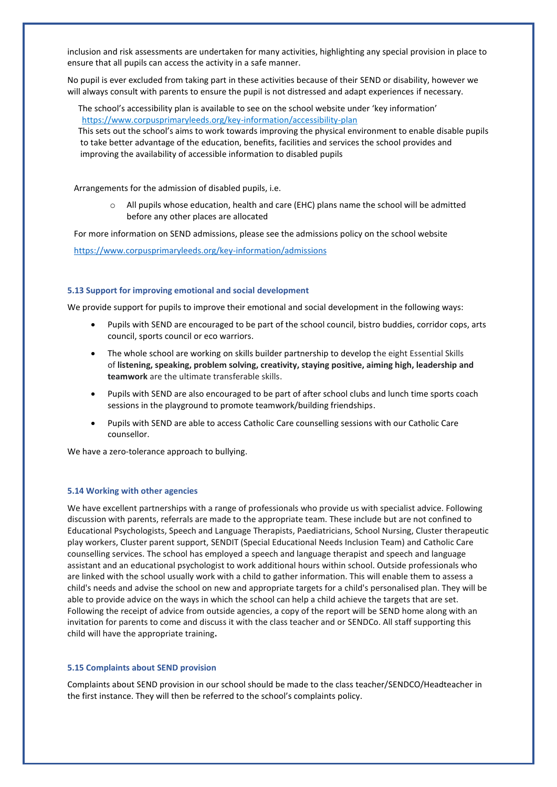inclusion and risk assessments are undertaken for many activities, highlighting any special provision in place to ensure that all pupils can access the activity in a safe manner.

No pupil is ever excluded from taking part in these activities because of their SEND or disability, however we will always consult with parents to ensure the pupil is not distressed and adapt experiences if necessary.

 The school's accessibility plan is available to see on the school website under 'key information' <https://www.corpusprimaryleeds.org/key-information/accessibility-plan>

 This sets out the school's aims to work towards improving the physical environment to enable disable pupils to take better advantage of the education, benefits, facilities and services the school provides and improving the availability of accessible information to disabled pupils

Arrangements for the admission of disabled pupils, i.e.

All pupils whose education, health and care (EHC) plans name the school will be admitted before any other places are allocated

For more information on SEND admissions, please see the admissions policy on the school website

<https://www.corpusprimaryleeds.org/key-information/admissions>

#### **5.13 Support for improving emotional and social development**

We provide support for pupils to improve their emotional and social development in the following ways:

- Pupils with SEND are encouraged to be part of the school council, bistro buddies, corridor cops, arts council, sports council or eco warriors.
- The whole school are working on skills builder partnership to develop the eight Essential Skills of **listening, speaking, problem solving, creativity, staying positive, aiming high, leadership and teamwork** are the ultimate transferable skills.
- Pupils with SEND are also encouraged to be part of after school clubs and lunch time sports coach sessions in the playground to promote teamwork/building friendships.
- Pupils with SEND are able to access Catholic Care counselling sessions with our Catholic Care counsellor.

We have a zero-tolerance approach to bullying.

#### **5.14 Working with other agencies**

We have excellent partnerships with a range of professionals who provide us with specialist advice. Following discussion with parents, referrals are made to the appropriate team. These include but are not confined to Educational Psychologists, Speech and Language Therapists, Paediatricians, School Nursing, Cluster therapeutic play workers, Cluster parent support, SENDIT (Special Educational Needs Inclusion Team) and Catholic Care counselling services. The school has employed a speech and language therapist and speech and language assistant and an educational psychologist to work additional hours within school. Outside professionals who are linked with the school usually work with a child to gather information. This will enable them to assess a child's needs and advise the school on new and appropriate targets for a child's personalised plan. They will be able to provide advice on the ways in which the school can help a child achieve the targets that are set. Following the receipt of advice from outside agencies, a copy of the report will be SEND home along with an invitation for parents to come and discuss it with the class teacher and or SENDCo. All staff supporting this child will have the appropriate training**.** 

#### **5.15 Complaints about SEND provision**

Complaints about SEND provision in our school should be made to the class teacher/SENDCO/Headteacher in the first instance. They will then be referred to the school's complaints policy.